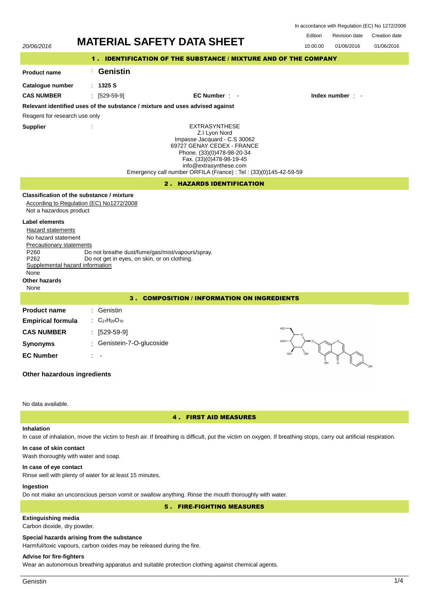| In accordance with Regulation (EC) No 1272/2008 |  |  |
|-------------------------------------------------|--|--|
|-------------------------------------------------|--|--|

Revision date Edition Revision date Creation date

| 20/06/2016                                                                                                                                      | <b>MATERIAL SAFETY DATA SHEET</b>                                                                                                                                                         |                                                                                                                                                                                                                                                              | טושטו ושוטויש ו<br>טוסטווטוו שטוע<br>01/06/2016<br>01/06/2016<br>10.00.00 |  |  |  |
|-------------------------------------------------------------------------------------------------------------------------------------------------|-------------------------------------------------------------------------------------------------------------------------------------------------------------------------------------------|--------------------------------------------------------------------------------------------------------------------------------------------------------------------------------------------------------------------------------------------------------------|---------------------------------------------------------------------------|--|--|--|
| 1. IDENTIFICATION OF THE SUBSTANCE / MIXTURE AND OF THE COMPANY                                                                                 |                                                                                                                                                                                           |                                                                                                                                                                                                                                                              |                                                                           |  |  |  |
| <b>Product name</b>                                                                                                                             | <b>Genistin</b><br>$\mathbb{Z}^{\times}$                                                                                                                                                  |                                                                                                                                                                                                                                                              |                                                                           |  |  |  |
| Catalogue number                                                                                                                                | : 1325S                                                                                                                                                                                   |                                                                                                                                                                                                                                                              |                                                                           |  |  |  |
| <b>CAS NUMBER</b>                                                                                                                               | $\frac{1}{2}$ [529-59-9]                                                                                                                                                                  | EC Number : -                                                                                                                                                                                                                                                | Index number : -                                                          |  |  |  |
|                                                                                                                                                 | Relevant identified uses of the substance / mixture and uses advised against                                                                                                              |                                                                                                                                                                                                                                                              |                                                                           |  |  |  |
| Reagent for research use only                                                                                                                   |                                                                                                                                                                                           |                                                                                                                                                                                                                                                              |                                                                           |  |  |  |
| <b>Supplier</b>                                                                                                                                 |                                                                                                                                                                                           | <b>EXTRASYNTHESE</b><br>Z.I Lyon Nord<br>Impasse Jacquard - C.S 30062<br>69727 GENAY CEDEX - FRANCE<br>Phone. (33)(0)478-98-20-34<br>Fax. (33)(0)478-98-19-45<br>info@extrasynthese.com<br>Emergency call number ORFILA (France) : Tel : (33)(0)145-42-59-59 |                                                                           |  |  |  |
| 2. HAZARDS IDENTIFICATION                                                                                                                       |                                                                                                                                                                                           |                                                                                                                                                                                                                                                              |                                                                           |  |  |  |
| Not a hazardous product<br><b>Label elements</b><br>Hazard statements<br>No hazard statement<br><b>Precautionary statements</b><br>P260<br>P262 | Classification of the substance / mixture<br>According to Regulation (EC) No1272/2008<br>Do not breathe dust/fume/gas/mist/vapours/spray.<br>Do not get in eyes, on skin, or on clothing. |                                                                                                                                                                                                                                                              |                                                                           |  |  |  |
| Supplemental hazard information<br>None<br>Other hazards<br>None                                                                                |                                                                                                                                                                                           |                                                                                                                                                                                                                                                              |                                                                           |  |  |  |
| 3. COMPOSITION / INFORMATION ON INGREDIENTS                                                                                                     |                                                                                                                                                                                           |                                                                                                                                                                                                                                                              |                                                                           |  |  |  |
| <b>Product name</b><br><b>Empirical formula</b><br><b>CAS NUMBER</b><br><b>Synonyms</b><br><b>EC Number</b><br>Other hazardous ingredients      | Genistin<br>$C_{21}H_{20}O_{10}$<br>$[529-59-9]$<br>Genistein-7-O-glucoside                                                                                                               | HO<br>HOLD                                                                                                                                                                                                                                                   |                                                                           |  |  |  |
| No data available.                                                                                                                              |                                                                                                                                                                                           |                                                                                                                                                                                                                                                              |                                                                           |  |  |  |

## **Inhalation**

4 . FIRST AID MEASURES

# In case of inhalation, move the victim to fresh air. If breathing is difficult, put the victim on oxygen. If breathing stops, carry out artificial respiration.

### **In case of skin contact**

Wash thoroughly with water and soap.

### **In case of eye contact**

Rinse well with plenty of water for at least 15 minutes.

# **Ingestion**

Do not make an unconscious person vomit or swallow anything. Rinse the mouth thoroughly with water.

5 . FIRE-FIGHTING MEASURES

# **Extinguishing media**

Carbon dioxide, dry powder.

# **Special hazards arising from the substance**

Harmful/toxic vapours, carbon oxides may be released during the fire.

## **Advise for fire-fighters**

Wear an autonomous breathing apparatus and suitable protection clothing against chemical agents.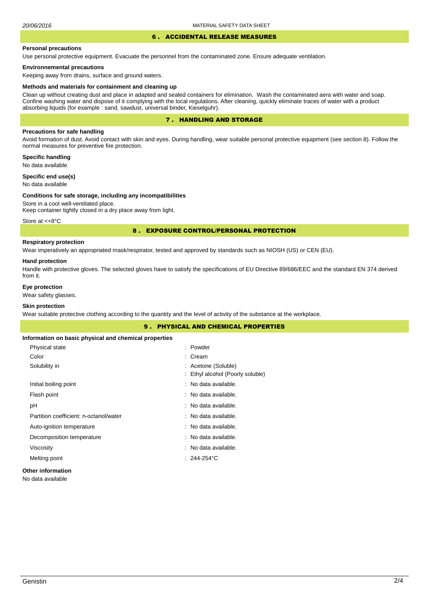#### 6 . ACCIDENTAL RELEASE MEASURES

#### **Personal precautions**

Use personal protective equipment. Evacuate the personnel from the contaminated zone. Ensure adequate ventilation.

### **Environnemental precautions**

Keeping away from drains, surface and ground waters.

#### **Methods and materials for containment and cleaning up**

Clean up without creating dust and place in adapted and sealed containers for elimination. Wash the contaminated aera with water and soap. Confine washing water and dispose of it complying with the local regulations. After cleaning, quickly eliminate traces of water with a product absorbing liquids (for example : sand, sawdust, universal binder, Kieselguhr).

## 7 . HANDLING AND STORAGE

## **Precautions for safe handling**

Avoid formation of dust. Avoid contact with skin and eyes. During handling, wear suitable personal protective equipment (see section 8). Follow the normal measures for preventive fire protection.

**Specific handling** No data available.

**Specific end use(s)**

# No data available

#### **Conditions for safe storage, including any incompatibilities**

Store in a cool well-ventilated place. Keep container tightly closed in a dry place away from light.

Store at <+8°C

### 8 . EXPOSURE CONTROL/PERSONAL PROTECTION

## **Respiratory protection**

Wear imperatively an appropriated mask/respirator, tested and approved by standards such as NIOSH (US) or CEN (EU).

#### **Hand protection**

Handle with protective gloves. The selected gloves have to satisfy the specifications of EU Directive 89/686/EEC and the standard EN 374 derived from it.

## **Eye protection**

Wear safety glasses.

# **Skin protection**

Wear suitable protective clothing according to the quantity and the level of activity of the substance at the workplace.

|                                                       | <b>9. PHYSICAL AND CHEMICAL PROPERTIES</b>              |  |
|-------------------------------------------------------|---------------------------------------------------------|--|
| Information on basic physical and chemical properties |                                                         |  |
| Physical state                                        | : Powder                                                |  |
| Color                                                 | $:$ Cream                                               |  |
| Solubility in                                         | : Acetone (Soluble)<br>: Ethyl alcohol (Poorly soluble) |  |
| Initial boiling point                                 | : No data available.                                    |  |
| Flash point                                           | : No data available.                                    |  |
| рH                                                    | : No data available.                                    |  |
| Partition coefficient: n-octanol/water                | : No data available.                                    |  |
| Auto-ignition temperature                             | : No data available.                                    |  |
| Decomposition temperature                             | : No data available.                                    |  |
| Viscosity                                             | : No data available.                                    |  |
| Melting point                                         | $: 244.254^{\circ}$ C                                   |  |
| <b>Other information</b>                              |                                                         |  |

#### No data available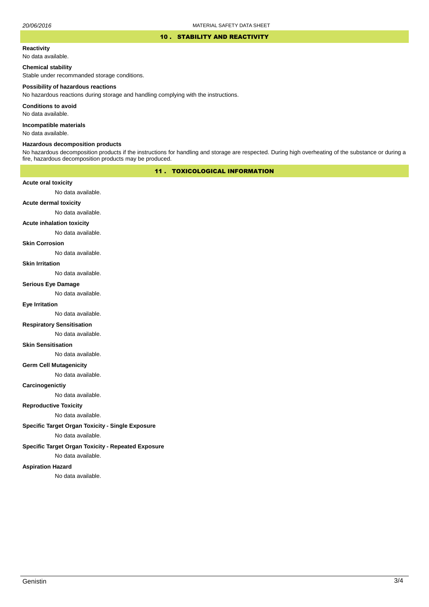#### 10 . STABILITY AND REACTIVITY

#### **Reactivity**

No data available.

### **Chemical stability**

Stable under recommanded storage conditions.

#### **Possibility of hazardous reactions**

No hazardous reactions during storage and handling complying with the instructions.

**Conditions to avoid**

No data available.

**Incompatible materials**

No data available.

## **Hazardous decomposition products**

No hazardous decomposition products if the instructions for handling and storage are respected. During high overheating of the substance or during a fire, hazardous decomposition products may be produced.

# 11 . TOXICOLOGICAL INFORMATION

### **Acute oral toxicity**

No data available.

# **Acute dermal toxicity**

No data available.

### **Acute inhalation toxicity**

No data available.

## **Skin Corrosion**

No data available.

#### **Skin Irritation**

No data available.

# **Serious Eye Damage**

No data available.

# **Eye Irritation**

No data available.

### **Respiratory Sensitisation**

No data available.

#### **Skin Sensitisation**

No data available.

### **Germ Cell Mutagenicity**

No data available.

### **Carcinogenictiy**

No data available.

# **Reproductive Toxicity**

No data available.

# **Specific Target Organ Toxicity - Single Exposure**

No data available.

## **Specific Target Organ Toxicity - Repeated Exposure**

No data available.

#### **Aspiration Hazard**

No data available.